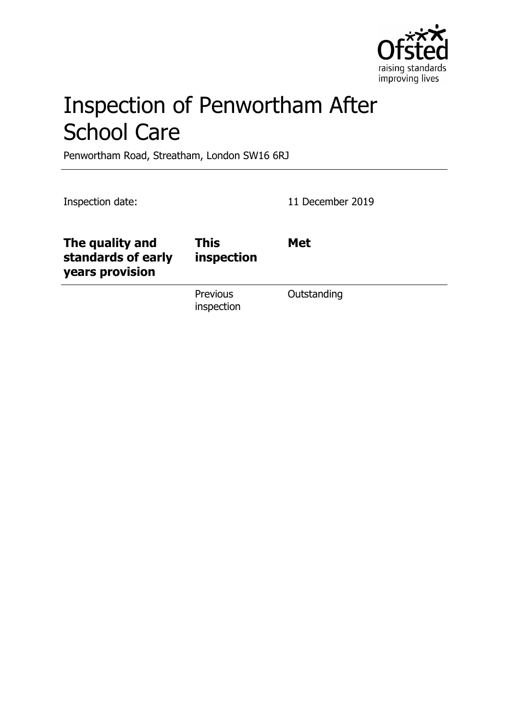

# Inspection of Penwortham After School Care

Penwortham Road, Streatham, London SW16 6RJ

Inspection date: 11 December 2019

| The quality and<br>standards of early<br>years provision | <b>This</b><br>inspection | <b>Met</b>  |
|----------------------------------------------------------|---------------------------|-------------|
|                                                          | Previous<br>inspection    | Outstanding |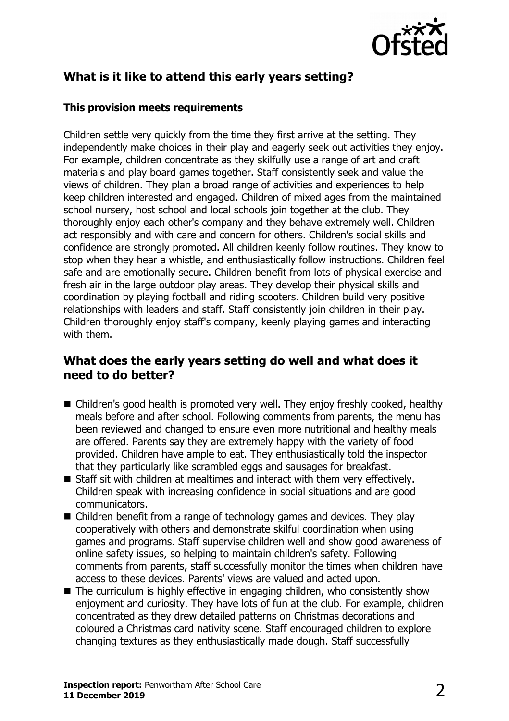

## **What is it like to attend this early years setting?**

#### **This provision meets requirements**

Children settle very quickly from the time they first arrive at the setting. They independently make choices in their play and eagerly seek out activities they enjoy. For example, children concentrate as they skilfully use a range of art and craft materials and play board games together. Staff consistently seek and value the views of children. They plan a broad range of activities and experiences to help keep children interested and engaged. Children of mixed ages from the maintained school nursery, host school and local schools join together at the club. They thoroughly enjoy each other's company and they behave extremely well. Children act responsibly and with care and concern for others. Children's social skills and confidence are strongly promoted. All children keenly follow routines. They know to stop when they hear a whistle, and enthusiastically follow instructions. Children feel safe and are emotionally secure. Children benefit from lots of physical exercise and fresh air in the large outdoor play areas. They develop their physical skills and coordination by playing football and riding scooters. Children build very positive relationships with leaders and staff. Staff consistently join children in their play. Children thoroughly enjoy staff's company, keenly playing games and interacting with them.

### **What does the early years setting do well and what does it need to do better?**

- $\blacksquare$  Children's good health is promoted very well. They enjoy freshly cooked, healthy meals before and after school. Following comments from parents, the menu has been reviewed and changed to ensure even more nutritional and healthy meals are offered. Parents say they are extremely happy with the variety of food provided. Children have ample to eat. They enthusiastically told the inspector that they particularly like scrambled eggs and sausages for breakfast.
- $\blacksquare$  Staff sit with children at mealtimes and interact with them very effectively. Children speak with increasing confidence in social situations and are good communicators.
- Children benefit from a range of technology games and devices. They play cooperatively with others and demonstrate skilful coordination when using games and programs. Staff supervise children well and show good awareness of online safety issues, so helping to maintain children's safety. Following comments from parents, staff successfully monitor the times when children have access to these devices. Parents' views are valued and acted upon.
- $\blacksquare$  The curriculum is highly effective in engaging children, who consistently show enjoyment and curiosity. They have lots of fun at the club. For example, children concentrated as they drew detailed patterns on Christmas decorations and coloured a Christmas card nativity scene. Staff encouraged children to explore changing textures as they enthusiastically made dough. Staff successfully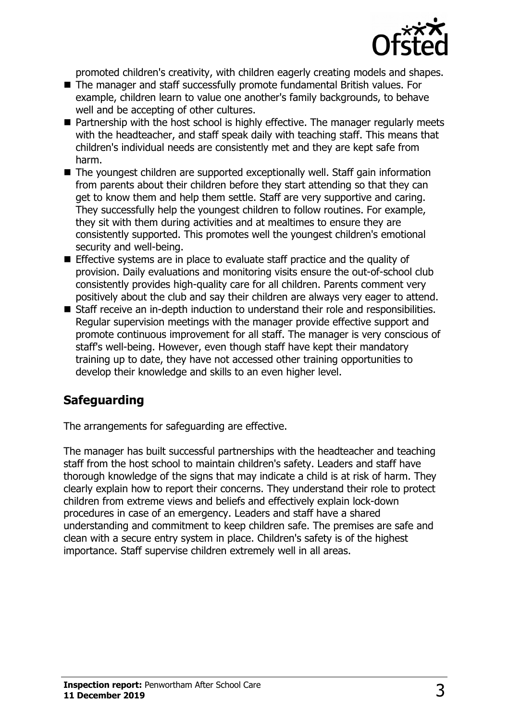

promoted children's creativity, with children eagerly creating models and shapes.

- The manager and staff successfully promote fundamental British values. For example, children learn to value one another's family backgrounds, to behave well and be accepting of other cultures.
- $\blacksquare$  Partnership with the host school is highly effective. The manager regularly meets with the headteacher, and staff speak daily with teaching staff. This means that children's individual needs are consistently met and they are kept safe from harm.
- $\blacksquare$  The youngest children are supported exceptionally well. Staff gain information from parents about their children before they start attending so that they can get to know them and help them settle. Staff are very supportive and caring. They successfully help the youngest children to follow routines. For example, they sit with them during activities and at mealtimes to ensure they are consistently supported. This promotes well the youngest children's emotional security and well-being.
- Effective systems are in place to evaluate staff practice and the quality of provision. Daily evaluations and monitoring visits ensure the out-of-school club consistently provides high-quality care for all children. Parents comment very positively about the club and say their children are always very eager to attend.
- Staff receive an in-depth induction to understand their role and responsibilities. Regular supervision meetings with the manager provide effective support and promote continuous improvement for all staff. The manager is very conscious of staff's well-being. However, even though staff have kept their mandatory training up to date, they have not accessed other training opportunities to develop their knowledge and skills to an even higher level.

# **Safeguarding**

The arrangements for safeguarding are effective.

The manager has built successful partnerships with the headteacher and teaching staff from the host school to maintain children's safety. Leaders and staff have thorough knowledge of the signs that may indicate a child is at risk of harm. They clearly explain how to report their concerns. They understand their role to protect children from extreme views and beliefs and effectively explain lock-down procedures in case of an emergency. Leaders and staff have a shared understanding and commitment to keep children safe. The premises are safe and clean with a secure entry system in place. Children's safety is of the highest importance. Staff supervise children extremely well in all areas.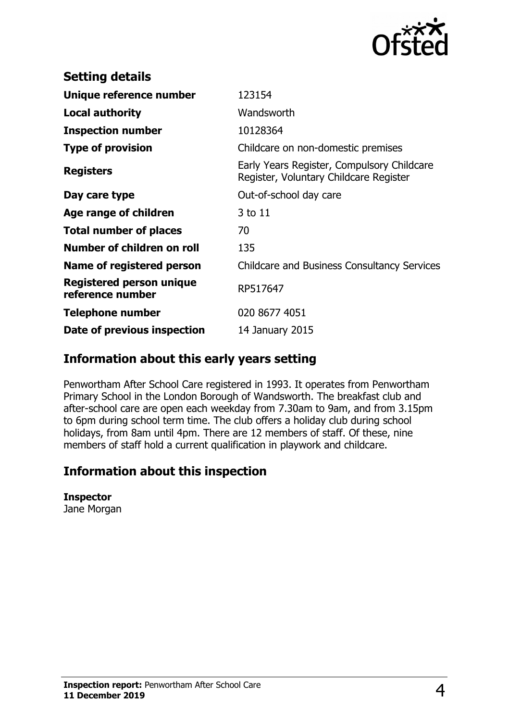

| <b>Setting details</b>                       |                                                                                      |
|----------------------------------------------|--------------------------------------------------------------------------------------|
| Unique reference number                      | 123154                                                                               |
| <b>Local authority</b>                       | Wandsworth                                                                           |
| <b>Inspection number</b>                     | 10128364                                                                             |
| <b>Type of provision</b>                     | Childcare on non-domestic premises                                                   |
| <b>Registers</b>                             | Early Years Register, Compulsory Childcare<br>Register, Voluntary Childcare Register |
| Day care type                                | Out-of-school day care                                                               |
| Age range of children                        | 3 to 11                                                                              |
| <b>Total number of places</b>                | 70                                                                                   |
| Number of children on roll                   | 135                                                                                  |
| Name of registered person                    | <b>Childcare and Business Consultancy Services</b>                                   |
| Registered person unique<br>reference number | RP517647                                                                             |
| <b>Telephone number</b>                      | 020 8677 4051                                                                        |
| Date of previous inspection                  | 14 January 2015                                                                      |
|                                              |                                                                                      |

## **Information about this early years setting**

Penwortham After School Care registered in 1993. It operates from Penwortham Primary School in the London Borough of Wandsworth. The breakfast club and after-school care are open each weekday from 7.30am to 9am, and from 3.15pm to 6pm during school term time. The club offers a holiday club during school holidays, from 8am until 4pm. There are 12 members of staff. Of these, nine members of staff hold a current qualification in playwork and childcare.

## **Information about this inspection**

#### **Inspector**

Jane Morgan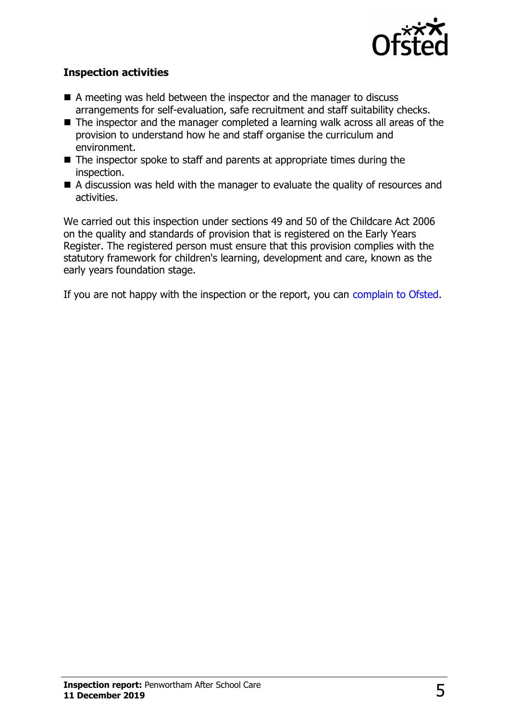

#### **Inspection activities**

- $\blacksquare$  A meeting was held between the inspector and the manager to discuss arrangements for self-evaluation, safe recruitment and staff suitability checks.
- $\blacksquare$  The inspector and the manager completed a learning walk across all areas of the provision to understand how he and staff organise the curriculum and environment.
- $\blacksquare$  The inspector spoke to staff and parents at appropriate times during the inspection.
- $\blacksquare$  A discussion was held with the manager to evaluate the quality of resources and activities.

We carried out this inspection under sections 49 and 50 of the Childcare Act 2006 on the quality and standards of provision that is registered on the Early Years Register. The registered person must ensure that this provision complies with the statutory framework for children's learning, development and care, known as the early years foundation stage.

If you are not happy with the inspection or the report, you can [complain to Ofsted.](http://www.gov.uk/complain-ofsted-report)